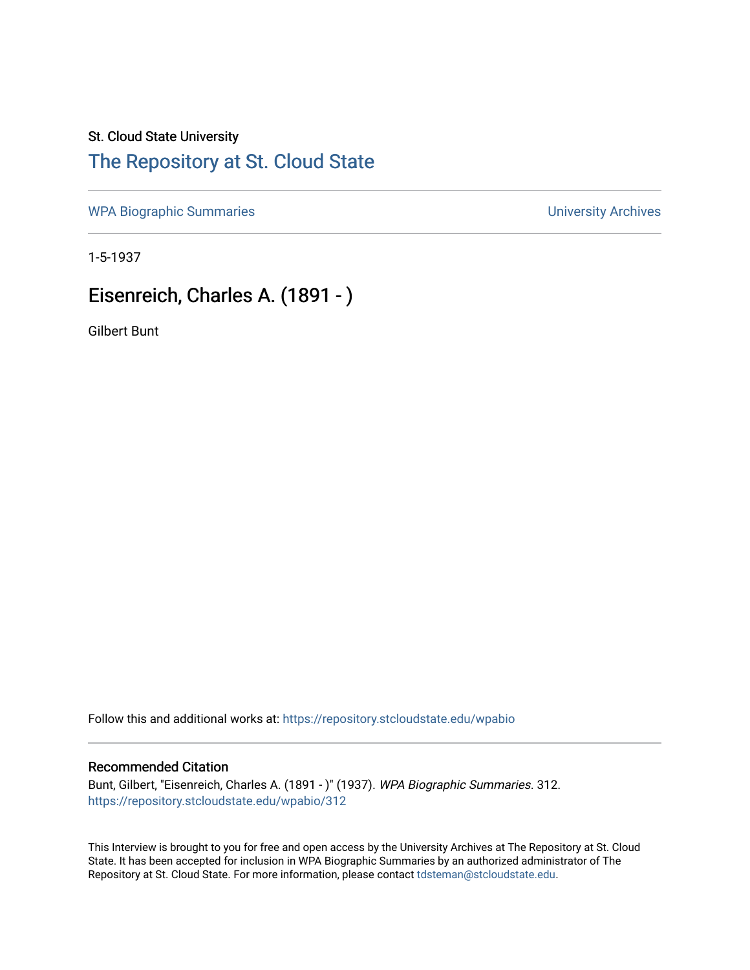### St. Cloud State University

# [The Repository at St. Cloud State](https://repository.stcloudstate.edu/)

[WPA Biographic Summaries](https://repository.stcloudstate.edu/wpabio) **WPA Biographic Summaries University Archives** 

1-5-1937

# Eisenreich, Charles A. (1891 - )

Gilbert Bunt

Follow this and additional works at: [https://repository.stcloudstate.edu/wpabio](https://repository.stcloudstate.edu/wpabio?utm_source=repository.stcloudstate.edu%2Fwpabio%2F312&utm_medium=PDF&utm_campaign=PDFCoverPages) 

#### Recommended Citation

Bunt, Gilbert, "Eisenreich, Charles A. (1891 - )" (1937). WPA Biographic Summaries. 312. [https://repository.stcloudstate.edu/wpabio/312](https://repository.stcloudstate.edu/wpabio/312?utm_source=repository.stcloudstate.edu%2Fwpabio%2F312&utm_medium=PDF&utm_campaign=PDFCoverPages) 

This Interview is brought to you for free and open access by the University Archives at The Repository at St. Cloud State. It has been accepted for inclusion in WPA Biographic Summaries by an authorized administrator of The Repository at St. Cloud State. For more information, please contact [tdsteman@stcloudstate.edu.](mailto:tdsteman@stcloudstate.edu)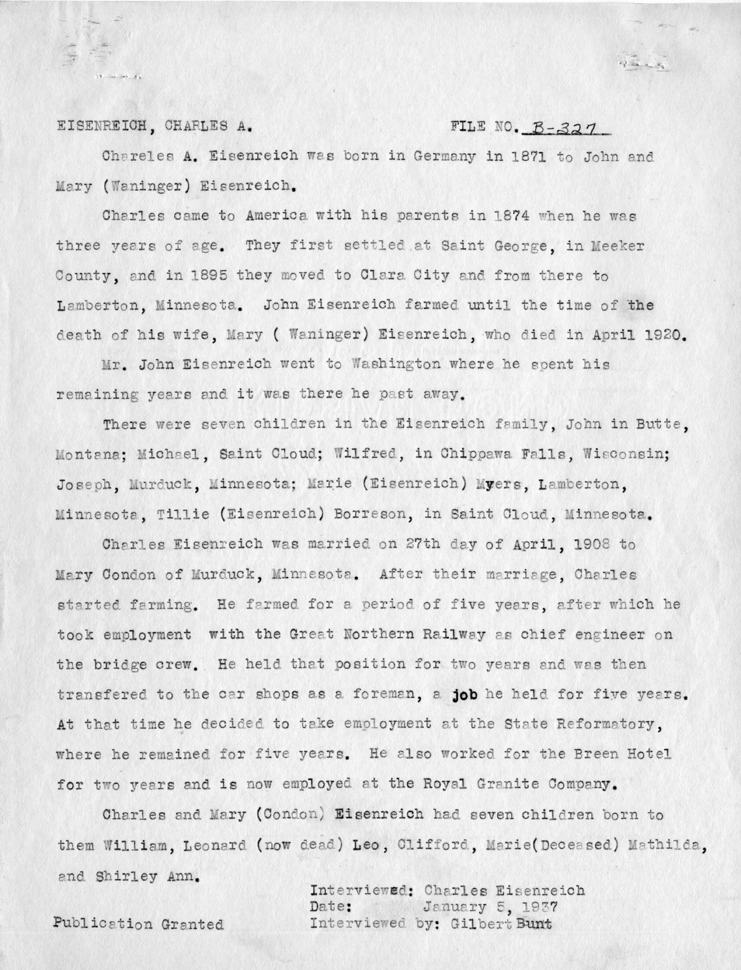#### EISENREICH, CHARLES A.

### FILE NO. B-327

Chareles A. Eisenreich was born in Germany in 1871 to John and Mary (Waninger) Eisenreich.

Charles came to America with his parents in 1874 when he was three years of age. They first settled at Saint George, in Meeker County, and in 1895 they moved to Clara City and from there to Lamberton, Minnesota. John Eisenreich farmed until the time of the death of his wife, Mary ( Waninger) Eisenreich, who died in April 1920.

Mr. John Eisenreich went to Washington where he spent his remaining years and it was there he past away.

There were seven children in the Eisenreich family, John in Butte. Montana: Michael, Saint Cloud; Wilfred, in Chippawa Falls, Wisconsin; Joseph, Murduck, Minnesota; Marie (Eisenreich) Myers, Lamberton, Minnesota, Tillie (Eisenreich) Borreson, in Saint Cloud, Minnesota.

Charles Eisenreich was married on 27th day of April. 1908 to Mary Condon of Murduck, Minnesota. After their marriage, Charles started farming. He farmed for a period of five years, after which he took employment with the Great Northern Railway as chief engineer on the bridge crew. He held that position for two years and was then transfered to the car shops as a foreman, a job he held for five years. At that time he decided to take employment at the State Reformatory, where he remained for five years. He also worked for the Breen Hotel for two vears and is now employed at the Royal Granite Company.

Charles and Mary (Condon) Eisenreich had seven children born to them William, Leonard (now dead) Leo, Clifford, Marie(Deceased) Mathilda, and Shirley Ann.

Interviewed: Charles Eisenreich January 5, 1937 Date: Interviewed by: Gilbert Bunt

Publication Granted